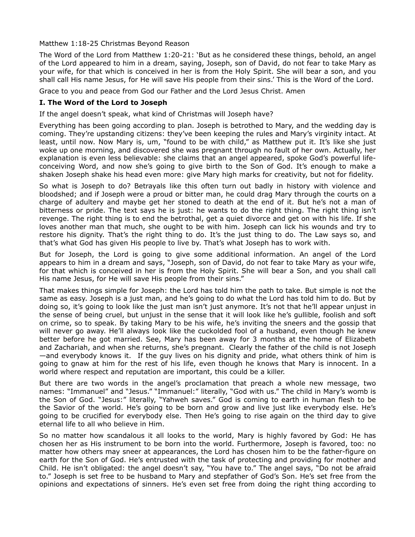Matthew 1:18-25 Christmas Beyond Reason

The Word of the Lord from Matthew 1:20-21: 'But as he considered these things, behold, an angel of the Lord appeared to him in a dream, saying, Joseph, son of David, do not fear to take Mary as your wife, for that which is conceived in her is from the Holy Spirit. She will bear a son, and you shall call His name Jesus, for He will save His people from their sins.' This is the Word of the Lord.

Grace to you and peace from God our Father and the Lord Jesus Christ. Amen

## **I. The Word of the Lord to Joseph**

If the angel doesn't speak, what kind of Christmas will Joseph have?

Everything has been going according to plan. Joseph is betrothed to Mary, and the wedding day is coming. They're upstanding citizens: they've been keeping the rules and Mary's virginity intact. At least, until now. Now Mary is, um, "found to be with child," as Matthew put it. It's like she just woke up one morning, and discovered she was pregnant through no fault of her own. Actually, her explanation is even less believable: she claims that an angel appeared, spoke God's powerful lifeconceiving Word, and now she's going to give birth to the Son of God. It's enough to make a shaken Joseph shake his head even more: give Mary high marks for creativity, but not for fidelity.

So what is Joseph to do? Betrayals like this often turn out badly in history with violence and bloodshed; and if Joseph were a proud or bitter man, he could drag Mary through the courts on a charge of adultery and maybe get her stoned to death at the end of it. But he's not a man of bitterness or pride. The text says he is just: he wants to do the right thing. The right thing isn't revenge. The right thing is to end the betrothal, get a quiet divorce and get on with his life. If she loves another man that much, she ought to be with him. Joseph can lick his wounds and try to restore his dignity. That's the right thing to do. It's the just thing to do. The Law says so, and that's what God has given His people to live by. That's what Joseph has to work with.

But for Joseph, the Lord is going to give some additional information. An angel of the Lord appears to him in a dream and says, "Joseph, son of David, do not fear to take Mary as your wife, for that which is conceived in her is from the Holy Spirit. She will bear a Son, and you shall call His name Jesus, for He will save His people from their sins."

That makes things simple for Joseph: the Lord has told him the path to take. But simple is not the same as easy. Joseph is a just man, and he's going to do what the Lord has told him to do. But by doing so, it's going to look like the just man isn't just anymore. It's not that he'll appear unjust in the sense of being cruel, but unjust in the sense that it will look like he's gullible, foolish and soft on crime, so to speak. By taking Mary to be his wife, he's inviting the sneers and the gossip that will never go away. He'll always look like the cuckolded fool of a husband, even though he knew better before he got married. See, Mary has been away for 3 months at the home of Elizabeth and Zachariah, and when she returns, she's pregnant. Clearly the father of the child is not Joseph —and everybody knows it. If the guy lives on his dignity and pride, what others think of him is going to gnaw at him for the rest of his life, even though he knows that Mary is innocent. In a world where respect and reputation are important, this could be a killer.

But there are two words in the angel's proclamation that preach a whole new message, two names: "Immanuel" and "Jesus." "Immanuel:" literally, "God with us." The child in Mary's womb is the Son of God. "Jesus:" literally, "Yahweh saves." God is coming to earth in human flesh to be the Savior of the world. He's going to be born and grow and live just like everybody else. He's going to be crucified for everybody else. Then He's going to rise again on the third day to give eternal life to all who believe in Him.

So no matter how scandalous it all looks to the world, Mary is highly favored by God: He has chosen her as His instrument to be born into the world. Furthermore, Joseph is favored, too: no matter how others may sneer at appearances, the Lord has chosen him to be the father-figure on earth for the Son of God. He's entrusted with the task of protecting and providing for mother and Child. He isn't obligated: the angel doesn't say, "You have to." The angel says, "Do not be afraid to." Joseph is set free to be husband to Mary and stepfather of God's Son. He's set free from the opinions and expectations of sinners. He's even set free from doing the right thing according to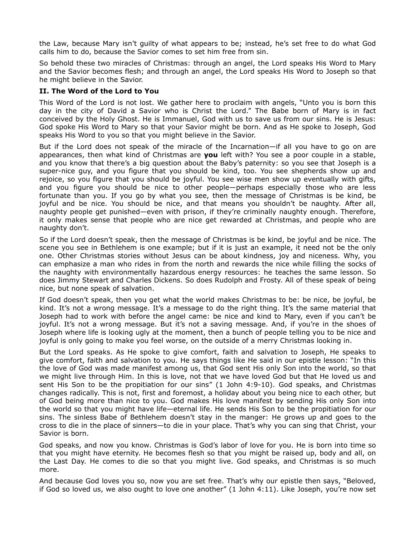the Law, because Mary isn't guilty of what appears to be; instead, he's set free to do what God calls him to do, because the Savior comes to set him free from sin.

So behold these two miracles of Christmas: through an angel, the Lord speaks His Word to Mary and the Savior becomes flesh; and through an angel, the Lord speaks His Word to Joseph so that he might believe in the Savior.

## **II. The Word of the Lord to You**

This Word of the Lord is not lost. We gather here to proclaim with angels, "Unto you is born this day in the city of David a Savior who is Christ the Lord." The Babe born of Mary is in fact conceived by the Holy Ghost. He is Immanuel, God with us to save us from our sins. He is Jesus: God spoke His Word to Mary so that your Savior might be born. And as He spoke to Joseph, God speaks His Word to you so that you might believe in the Savior.

But if the Lord does not speak of the miracle of the Incarnation—if all you have to go on are appearances, then what kind of Christmas are **you** left with? You see a poor couple in a stable, and you know that there's a big question about the Baby's paternity: so you see that Joseph is a super-nice guy, and you figure that you should be kind, too. You see shepherds show up and rejoice, so you figure that you should be joyful. You see wise men show up eventually with gifts, and you figure you should be nice to other people—perhaps especially those who are less fortunate than you. If you go by what you see, then the message of Christmas is be kind, be joyful and be nice. You should be nice, and that means you shouldn't be naughty. After all, naughty people get punished—even with prison, if they're criminally naughty enough. Therefore, it only makes sense that people who are nice get rewarded at Christmas, and people who are naughty don't.

So if the Lord doesn't speak, then the message of Christmas is be kind, be joyful and be nice. The scene you see in Bethlehem is one example; but if it is just an example, it need not be the only one. Other Christmas stories without Jesus can be about kindness, joy and niceness. Why, you can emphasize a man who rides in from the north and rewards the nice while filling the socks of the naughty with environmentally hazardous energy resources: he teaches the same lesson. So does Jimmy Stewart and Charles Dickens. So does Rudolph and Frosty. All of these speak of being nice, but none speak of salvation.

If God doesn't speak, then you get what the world makes Christmas to be: be nice, be joyful, be kind. It's not a wrong message. It's a message to do the right thing. It's the same material that Joseph had to work with before the angel came: be nice and kind to Mary, even if you can't be joyful. It's not a wrong message. But it's not a saving message. And, if you're in the shoes of Joseph where life is looking ugly at the moment, then a bunch of people telling you to be nice and joyful is only going to make you feel worse, on the outside of a merry Christmas looking in.

But the Lord speaks. As He spoke to give comfort, faith and salvation to Joseph, He speaks to give comfort, faith and salvation to you. He says things like He said in our epistle lesson: "In this the love of God was made manifest among us, that God sent His only Son into the world, so that we might live through Him. In this is love, not that we have loved God but that He loved us and sent His Son to be the propitiation for our sins" (1 John 4:9-10). God speaks, and Christmas changes radically. This is not, first and foremost, a holiday about you being nice to each other, but of God being more than nice to you. God makes His love manifest by sending His only Son into the world so that you might have life—eternal life. He sends His Son to be the propitiation for our sins. The sinless Babe of Bethlehem doesn't stay in the manger: He grows up and goes to the cross to die in the place of sinners—to die in your place. That's why you can sing that Christ, your Savior is born.

God speaks, and now you know. Christmas is God's labor of love for you. He is born into time so that you might have eternity. He becomes flesh so that you might be raised up, body and all, on the Last Day. He comes to die so that you might live. God speaks, and Christmas is so much more.

And because God loves you so, now you are set free. That's why our epistle then says, "Beloved, if God so loved us, we also ought to love one another" (1 John 4:11). Like Joseph, you're now set